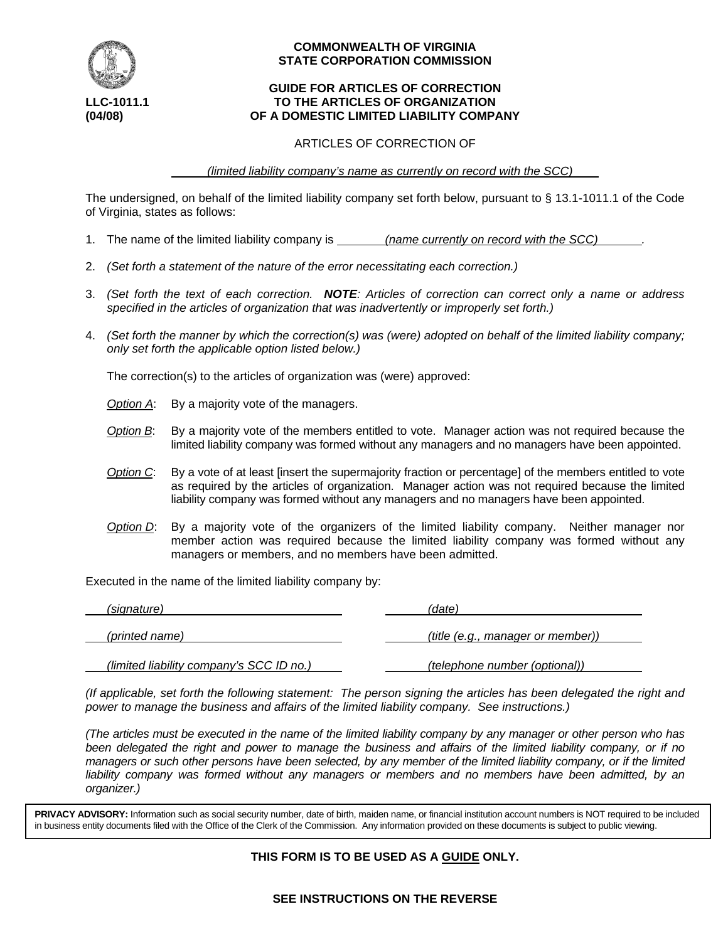

# **COMMONWEALTH OF VIRGINIA STATE CORPORATION COMMISSION**

## **GUIDE FOR ARTICLES OF CORRECTION LLC-1011.1 TO THE ARTICLES OF ORGANIZATION (04/08) OF A DOMESTIC LIMITED LIABILITY COMPANY**

## ARTICLES OF CORRECTION OF

 *(limited liability company's name as currently on record with the SCC)* 

The undersigned, on behalf of the limited liability company set forth below, pursuant to § 13.1-1011.1 of the Code of Virginia, states as follows:

- 1. The name of the limited liability company is *(name currently on record with the SCC) .*
- 2. *(Set forth a statement of the nature of the error necessitating each correction.)*
- 3. *(Set forth the text of each correction. NOTE: Articles of correction can correct only a name or address specified in the articles of organization that was inadvertently or improperly set forth.)*
- 4. *(Set forth the manner by which the correction(s) was (were) adopted on behalf of the limited liability company; only set forth the applicable option listed below.)*

The correction(s) to the articles of organization was (were) approved:

- *Option A*: By a majority vote of the managers.
- *Option B*: By a majority vote of the members entitled to vote. Manager action was not required because the limited liability company was formed without any managers and no managers have been appointed.
- *Option C*: By a vote of at least [insert the supermajority fraction or percentage] of the members entitled to vote as required by the articles of organization. Manager action was not required because the limited liability company was formed without any managers and no managers have been appointed.
- *Option D*: By a majority vote of the organizers of the limited liability company. Neither manager nor member action was required because the limited liability company was formed without any managers or members, and no members have been admitted.

Executed in the name of the limited liability company by:

| (signature)                              | (date)                            |
|------------------------------------------|-----------------------------------|
| (printed name)                           | (title (e.g., manager or member)) |
| (limited liability company's SCC ID no.) | (telephone number (optional))     |

*(If applicable, set forth the following statement: The person signing the articles has been delegated the right and power to manage the business and affairs of the limited liability company. See instructions.)*

*(The articles must be executed in the name of the limited liability company by any manager or other person who has been delegated the right and power to manage the business and affairs of the limited liability company, or if no managers or such other persons have been selected, by any member of the limited liability company, or if the limited liability company was formed without any managers or members and no members have been admitted, by an organizer.)*

**PRIVACY ADVISORY:** Information such as social security number, date of birth, maiden name, or financial institution account numbers is NOT required to be included in business entity documents filed with the Office of the Clerk of the Commission. Any information provided on these documents is subject to public viewing.

# **THIS FORM IS TO BE USED AS A GUIDE ONLY.**

# **SEE INSTRUCTIONS ON THE REVERSE**